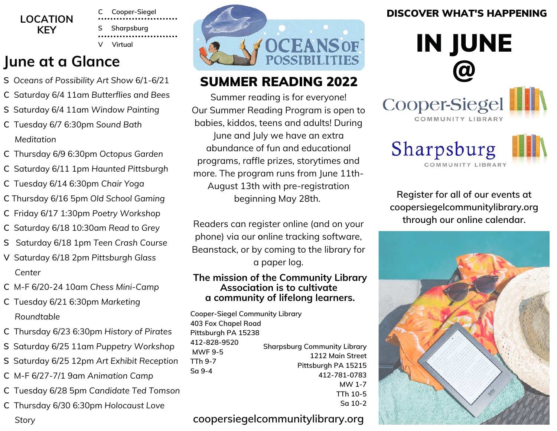

**C Cooper-Siegel S Sharpsburg V Virtual**

### **June at a Glance**

- **S** *Oceans of Possibility Art Show* 6/1-6/21
- **C** Saturday 6/4 11am *Butterflies and Bees*
- **S** Saturday 6/4 11am *Window Painting*
- **C** Tuesday 6/7 6:30pm *Sound Bath Meditation*
- **C** Thursday 6/9 6:30pm *Octopus Garden*
- **C** Saturday 6/11 1pm *Haunted Pittsburgh*
- **C** Tuesday 6/14 6:30pm *Chair Yoga*
- **C** Thursday 6/16 5pm *Old School Gaming*
- **C** Friday 6/17 1:30pm *Poetry Workshop*
- **C** Saturday 6/18 10:30am *Read to Grey*
- **S** Saturday 6/18 1pm *Teen Crash Course*
- **V** Saturday 6/18 2pm *Pittsburgh Glass Center*
- **C** M-F 6/20-24 10am *Chess Mini-Camp*
- **C** Tuesday 6/21 6:30pm *Marketing Roundtable*
- **C** Thursday 6/23 6:30pm *History of Pirates*
- **S** Saturday 6/25 11am *Puppetry Workshop*
- **S** Saturday 6/25 12pm *Art Exhibit Reception*
- **C** M-F 6/27-7/1 9am *Animation Camp*
- **C** Tuesday 6/28 5pm *Candidate Ted Tomson*
- **C** Thursday 6/30 6:30pm *Holocaust Love Story*



### **SUMMER READING 2022**

Summer reading is for everyone! Our Summer Reading Program is open to babies, kiddos, teens and adults! During June and July we have an extra abundance of fun and educational programs, raffle prizes, storytimes and more. The program runs from June 11th-August 13th with pre-registration beginning May 28th.

Readers can register online (and on your phone) via our **[o](https://www.eventkeeper.com/litkeeper/index.cfm?curOrg=MCL)**nline tracking software, Beanstack, or by coming to the library for a paper log.

#### **The mission of the Community Library Association is to cultivate a community of lifelong learners.**

**Cooper-Siegel Community Library 403 Fox Chapel Road Pittsburgh PA 15238 412-828-9520 MWF 9-5 TTh 9-7 Sa 9-4 Sharpsburg Community Library 1212 Main Street Pittsburgh PA 15215 412-781-0783 MW 1-7**

**TTh 10-5 Sa 10-2**

### **coopersiegelcommunitylibrary.org**

### DISCOVER WHAT'S HAPPENING



**Register for all of our events at coopersiegelcommunitylibrary.org through our online calendar.**